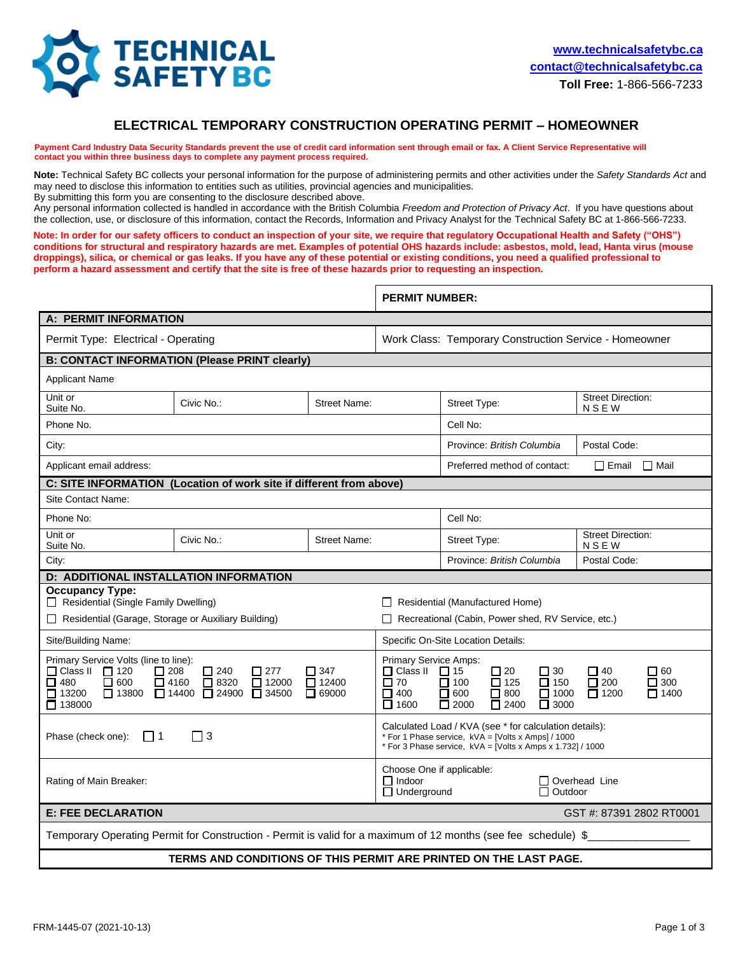

## **ELECTRICAL TEMPORARY CONSTRUCTION OPERATING PERMIT – HOMEOWNER**

Payment Card Industry Data Security Standards prevent the use of credit card information sent through email or fax. A Client Service Representative will **contact you within three business days to complete any payment process required.** 

**Note:** Technical Safety BC collects your personal information for the purpose of administering permits and other activities under the *Safety Standards Act* and may need to disclose this information to entities such as utilities, provincial agencies and municipalities.

By submitting this form you are consenting to the disclosure described above.

Any personal information collected is handled in accordance with the British Columbia *Freedom and Protection of Privacy Act*. If you have questions about the collection, use, or disclosure of this information, contact the Records, Information and Privacy Analyst for the Technical Safety BC at 1-866-566-7233.

**Note: In order for our safety officers to conduct an inspection of your site, we require that regulatory Occupational Health and Safety ("OHS") conditions for structural and respiratory hazards are met. Examples of potential OHS hazards include: asbestos, mold, lead, Hanta virus (mouse droppings), silica, or chemical or gas leaks. If you have any of these potential or existing conditions, you need a qualified professional to perform a hazard assessment and certify that the site is free of these hazards prior to requesting an inspection.**

|                                                                                                                                                                                                                                                                                                                                                                  |                                                                     |                     | <b>PERMIT NUMBER:</b>                                                                                                                                                                                                                                                                                                                                        |                                            |  |                                         |  |
|------------------------------------------------------------------------------------------------------------------------------------------------------------------------------------------------------------------------------------------------------------------------------------------------------------------------------------------------------------------|---------------------------------------------------------------------|---------------------|--------------------------------------------------------------------------------------------------------------------------------------------------------------------------------------------------------------------------------------------------------------------------------------------------------------------------------------------------------------|--------------------------------------------|--|-----------------------------------------|--|
| <b>A: PERMIT INFORMATION</b>                                                                                                                                                                                                                                                                                                                                     |                                                                     |                     |                                                                                                                                                                                                                                                                                                                                                              |                                            |  |                                         |  |
| Permit Type: Electrical - Operating                                                                                                                                                                                                                                                                                                                              |                                                                     |                     | Work Class: Temporary Construction Service - Homeowner                                                                                                                                                                                                                                                                                                       |                                            |  |                                         |  |
| <b>B: CONTACT INFORMATION (Please PRINT clearly)</b>                                                                                                                                                                                                                                                                                                             |                                                                     |                     |                                                                                                                                                                                                                                                                                                                                                              |                                            |  |                                         |  |
| Applicant Name:                                                                                                                                                                                                                                                                                                                                                  |                                                                     |                     |                                                                                                                                                                                                                                                                                                                                                              |                                            |  |                                         |  |
| Unit or<br>Suite No.                                                                                                                                                                                                                                                                                                                                             | Civic No.:                                                          | <b>Street Name:</b> |                                                                                                                                                                                                                                                                                                                                                              | Street Type:                               |  | <b>Street Direction:</b><br><b>NSEW</b> |  |
| Phone No.                                                                                                                                                                                                                                                                                                                                                        |                                                                     |                     |                                                                                                                                                                                                                                                                                                                                                              | Cell No:                                   |  |                                         |  |
| City:                                                                                                                                                                                                                                                                                                                                                            |                                                                     |                     |                                                                                                                                                                                                                                                                                                                                                              | Postal Code:<br>Province: British Columbia |  |                                         |  |
| Applicant email address:                                                                                                                                                                                                                                                                                                                                         |                                                                     |                     |                                                                                                                                                                                                                                                                                                                                                              | Preferred method of contact:               |  | $\Box$ Email $\Box$ Mail                |  |
|                                                                                                                                                                                                                                                                                                                                                                  | C: SITE INFORMATION (Location of work site if different from above) |                     |                                                                                                                                                                                                                                                                                                                                                              |                                            |  |                                         |  |
| Site Contact Name:                                                                                                                                                                                                                                                                                                                                               |                                                                     |                     |                                                                                                                                                                                                                                                                                                                                                              |                                            |  |                                         |  |
| Phone No:                                                                                                                                                                                                                                                                                                                                                        |                                                                     |                     |                                                                                                                                                                                                                                                                                                                                                              | Cell No:                                   |  |                                         |  |
| Unit or<br>Suite No.                                                                                                                                                                                                                                                                                                                                             | Civic No.:                                                          | <b>Street Name:</b> |                                                                                                                                                                                                                                                                                                                                                              | Street Type:                               |  | <b>Street Direction:</b><br><b>NSEW</b> |  |
| City:                                                                                                                                                                                                                                                                                                                                                            |                                                                     |                     |                                                                                                                                                                                                                                                                                                                                                              | Province: British Columbia                 |  | Postal Code:                            |  |
| D: ADDITIONAL INSTALLATION INFORMATION                                                                                                                                                                                                                                                                                                                           |                                                                     |                     |                                                                                                                                                                                                                                                                                                                                                              |                                            |  |                                         |  |
| <b>Occupancy Type:</b><br>Residential (Single Family Dwelling)                                                                                                                                                                                                                                                                                                   |                                                                     |                     | $\Box$ Residential (Manufactured Home)                                                                                                                                                                                                                                                                                                                       |                                            |  |                                         |  |
| Residential (Garage, Storage or Auxiliary Building)                                                                                                                                                                                                                                                                                                              |                                                                     |                     | Recreational (Cabin, Power shed, RV Service, etc.)                                                                                                                                                                                                                                                                                                           |                                            |  |                                         |  |
| Site/Building Name:                                                                                                                                                                                                                                                                                                                                              |                                                                     |                     | Specific On-Site Location Details:                                                                                                                                                                                                                                                                                                                           |                                            |  |                                         |  |
| Primary Service Volts (line to line):<br>$\Box$ Class II<br>$\Box$ 120<br>$\square$ 240<br>$\Box$ 208<br>$\square$ 277<br>□ 347<br>$\Box$ 600<br>$\Box$ 12400<br>$\Box$ 480<br>$\Box$ 4160<br>$\square$ 8320<br>$\Box$ 12000<br>$\overline{\Box}$ 34500<br>$\Box$ 14400 $\overline{\Box}$ 24900<br>$\Box$ 13800<br>$\Box$ 69000<br>$\Box$ 13200<br>$\Box$ 138000 |                                                                     |                     | Primary Service Amps:<br>$\Box$ Class II<br>$\Box$ 15<br>$\square$ 20<br>$\square$ 30<br>$\Box$ 40<br>■ 60<br>$\square$ 70<br>$\square$ 125<br>$\square$ 200<br>$\Box$ 300<br>$\Box$ 100<br>$\Box$ 150<br>$\square$ 800<br>$\Box$ 1000<br>$\Box$ 400<br>$\Box$ 600<br>$\Box$ 1200<br>$\Box$ 1400<br>$\Box$ 1600<br>$\Box$ 2000<br>$\Box$ 2400<br>$\Box$ 3000 |                                            |  |                                         |  |
| $\Box$ 3<br>Phase (check one):<br>111                                                                                                                                                                                                                                                                                                                            |                                                                     |                     | Calculated Load / KVA (see * for calculation details):<br>* For 1 Phase service, kVA = [Volts x Amps] / 1000<br>* For 3 Phase service, kVA = [Volts x Amps x 1.732] / 1000                                                                                                                                                                                   |                                            |  |                                         |  |
| Rating of Main Breaker:                                                                                                                                                                                                                                                                                                                                          |                                                                     |                     | Choose One if applicable:<br>$\Box$ Indoor<br>Overhead Line<br>$\Box$ Underground<br>Outdoor                                                                                                                                                                                                                                                                 |                                            |  |                                         |  |
| <b>E: FEE DECLARATION</b><br>GST #: 87391 2802 RT0001                                                                                                                                                                                                                                                                                                            |                                                                     |                     |                                                                                                                                                                                                                                                                                                                                                              |                                            |  |                                         |  |
| Temporary Operating Permit for Construction - Permit is valid for a maximum of 12 months (see fee schedule) \$                                                                                                                                                                                                                                                   |                                                                     |                     |                                                                                                                                                                                                                                                                                                                                                              |                                            |  |                                         |  |
| TERMS AND CONDITIONS OF THIS PERMIT ARE PRINTED ON THE LAST PAGE.                                                                                                                                                                                                                                                                                                |                                                                     |                     |                                                                                                                                                                                                                                                                                                                                                              |                                            |  |                                         |  |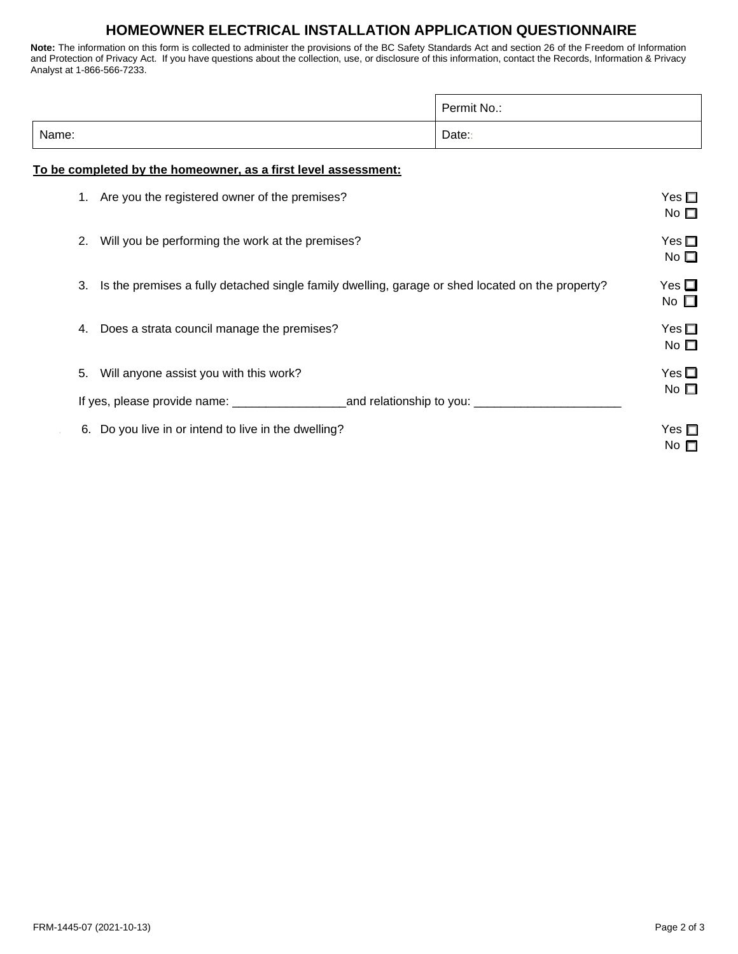# **HOMEOWNER ELECTRICAL INSTALLATION APPLICATION QUESTIONNAIRE**

 $\overline{1}$ 

**Note:** The information on this form is collected to administer the provisions of the BC Safety Standards Act and section 26 of the Freedom of Information and Protection of Privacy Act. If you have questions about the collection, use, or disclosure of this information, contact the Records, Information & Privacy Analyst at 1-866-566-7233.

|       |                                                                                                  | Permit No.: |                               |  |  |
|-------|--------------------------------------------------------------------------------------------------|-------------|-------------------------------|--|--|
| Name: |                                                                                                  | Date:       |                               |  |  |
|       | To be completed by the homeowner, as a first level assessment:                                   |             |                               |  |  |
|       | 1. Are you the registered owner of the premises?                                                 |             | Yes $\square$<br>No $\square$ |  |  |
| 2.    | Will you be performing the work at the premises?                                                 |             | Yes $\square$<br>No $\square$ |  |  |
| 3.    | Is the premises a fully detached single family dwelling, garage or shed located on the property? |             | Yes $\square$<br>No $\square$ |  |  |
| 4.    | Does a strata council manage the premises?                                                       |             | Yes $\square$<br>No $\square$ |  |  |
| 5.    | Will anyone assist you with this work?                                                           |             | Yes $\Box$                    |  |  |
|       |                                                                                                  |             | No $\square$                  |  |  |
| 6.    | Do you live in or intend to live in the dwelling?                                                |             | Yes $\square$<br>No $\square$ |  |  |

┑